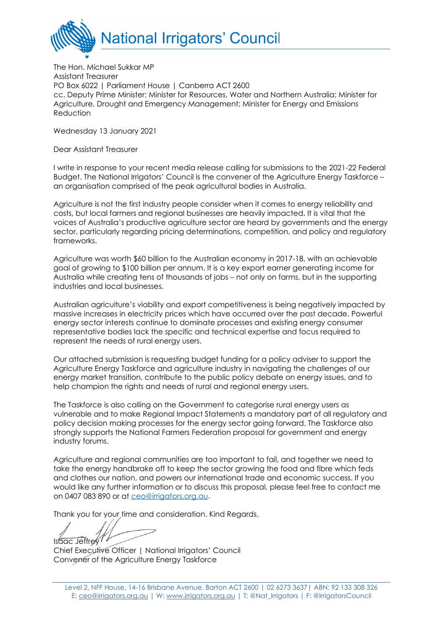

The Hon. Michael Sukkar MP Assistant Treasurer PO Box 6022 | Parliament House | Canberra ACT 2600 cc. Deputy Prime Minister; Minister for Resources, Water and Northern Australia; Minister for Agriculture, Drought and Emergency Management; Minister for Energy and Emissions Reduction

Wednesday 13 January 2021

Dear Assistant Treasurer

I write in response to your recent media release calling for submissions to the 2021-22 Federal Budget. The National Irrigators' Council is the convener of the Agriculture Energy Taskforce – an organisation comprised of the peak agricultural bodies in Australia.

Agriculture is not the first industry people consider when it comes to energy reliability and costs, but local farmers and regional businesses are heavily impacted. It is vital that the voices of Australia's productive agriculture sector are heard by governments and the energy sector, particularly regarding pricing determinations, competition, and policy and regulatory frameworks.

Agriculture was worth \$60 billion to the Australian economy in 2017-18, with an achievable goal of growing to \$100 billion per annum. It is a key export earner generating income for Australia while creating tens of thousands of jobs – not only on farms, but in the supporting industries and local businesses.

Australian agriculture's viability and export competitiveness is being negatively impacted by massive increases in electricity prices which have occurred over the past decade. Powerful energy sector interests continue to dominate processes and existing energy consumer representative bodies lack the specific and technical expertise and focus required to represent the needs of rural energy users.

Our attached submission is requesting budget funding for a policy adviser to support the Agriculture Energy Taskforce and agriculture industry in navigating the challenges of our energy market transition, contribute to the public policy debate on energy issues, and to help champion the rights and needs of rural and regional energy users.

The Taskforce is also calling on the Government to categorise rural energy users as vulnerable and to make Regional Impact Statements a mandatory part of all regulatory and policy decision making processes for the energy sector going forward. The Taskforce also strongly supports the National Farmers Federation proposal for government and energy industry forums.

Agriculture and regional communities are too important to fail, and together we need to take the energy handbrake off to keep the sector growing the food and fibre which feds and clothes our nation, and powers our international trade and economic success. If you would like any further information or to discuss this proposal, please feel free to contact me on 0407 083 890 or at [ceo@irrigators.org.au.](mailto:ceo@irrigators.org.au)

Thank you for your time and consideration. Kind Regards,

Isaac Jeffrey

Chief Executive Officer | National Irrigators' Council Convener of the Agriculture Energy Taskforce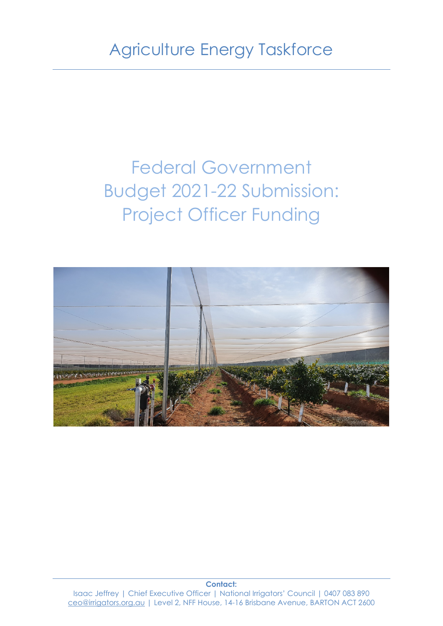# Federal Government Budget 2021-22 Submission: Project Officer Funding



**Contact:** Isaac Jeffrey | Chief Executive Officer | National Irrigators' Council | 0407 083 890 [ceo@irrigators.org.au](mailto:ceo@irrigators.org.au) | Level 2, NFF House, 14-16 Brisbane Avenue, BARTON ACT 2600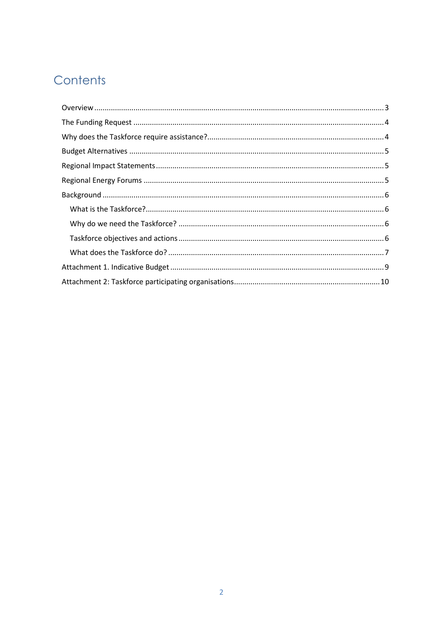## Contents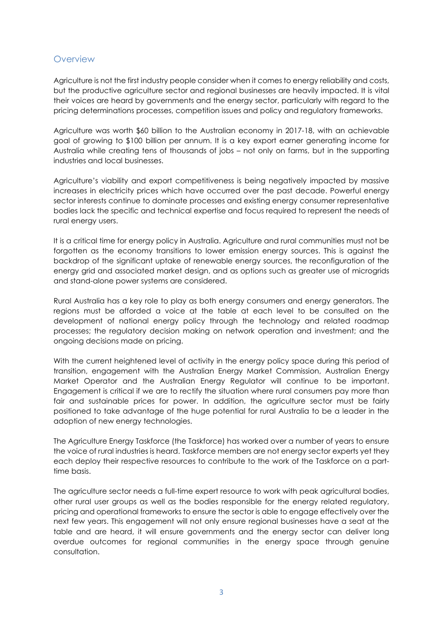#### <span id="page-3-0"></span>**Overview**

Agriculture is not the first industry people consider when it comes to energy reliability and costs, but the productive agriculture sector and regional businesses are heavily impacted. It is vital their voices are heard by governments and the energy sector, particularly with regard to the pricing determinations processes, competition issues and policy and regulatory frameworks.

Agriculture was worth \$60 billion to the Australian economy in 2017-18, with an achievable goal of growing to \$100 billion per annum. It is a key export earner generating income for Australia while creating tens of thousands of jobs – not only on farms, but in the supporting industries and local businesses.

Agriculture's viability and export competitiveness is being negatively impacted by massive increases in electricity prices which have occurred over the past decade. Powerful energy sector interests continue to dominate processes and existing energy consumer representative bodies lack the specific and technical expertise and focus required to represent the needs of rural energy users.

It is a critical time for energy policy in Australia. Agriculture and rural communities must not be forgotten as the economy transitions to lower emission energy sources. This is against the backdrop of the significant uptake of renewable energy sources, the reconfiguration of the energy grid and associated market design, and as options such as greater use of microgrids and stand-alone power systems are considered.

Rural Australia has a key role to play as both energy consumers and energy generators. The regions must be afforded a voice at the table at each level to be consulted on the development of national energy policy through the technology and related roadmap processes; the regulatory decision making on network operation and investment; and the ongoing decisions made on pricing.

With the current heightened level of activity in the energy policy space during this period of transition, engagement with the Australian Energy Market Commission, Australian Energy Market Operator and the Australian Energy Regulator will continue to be important. Engagement is critical if we are to rectify the situation where rural consumers pay more than fair and sustainable prices for power. In addition, the agriculture sector must be fairly positioned to take advantage of the huge potential for rural Australia to be a leader in the adoption of new energy technologies.

The Agriculture Energy Taskforce (the Taskforce) has worked over a number of years to ensure the voice of rural industries is heard. Taskforce members are not energy sector experts yet they each deploy their respective resources to contribute to the work of the Taskforce on a parttime basis.

The agriculture sector needs a full-time expert resource to work with peak agricultural bodies, other rural user groups as well as the bodies responsible for the energy related regulatory, pricing and operational frameworks to ensure the sector is able to engage effectively over the next few years. This engagement will not only ensure regional businesses have a seat at the table and are heard, it will ensure governments and the energy sector can deliver long overdue outcomes for regional communities in the energy space through genuine consultation.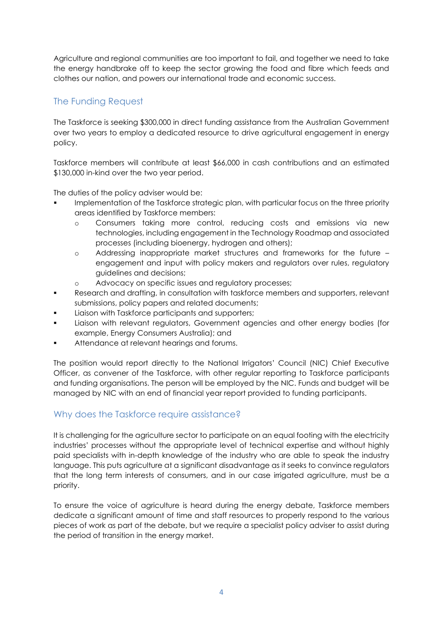Agriculture and regional communities are too important to fail, and together we need to take the energy handbrake off to keep the sector growing the food and fibre which feeds and clothes our nation, and powers our international trade and economic success.

#### <span id="page-4-0"></span>The Funding Request

The Taskforce is seeking \$300,000 in direct funding assistance from the Australian Government over two years to employ a dedicated resource to drive agricultural engagement in energy policy.

Taskforce members will contribute at least \$66,000 in cash contributions and an estimated \$130,000 in-kind over the two year period.

The duties of the policy adviser would be:

- Implementation of the Taskforce strategic plan, with particular focus on the three priority areas identified by Taskforce members:
	- o Consumers taking more control, reducing costs and emissions via new technologies, including engagement in the Technology Roadmap and associated processes (including bioenergy, hydrogen and others);
	- o Addressing inappropriate market structures and frameworks for the future engagement and input with policy makers and regulators over rules, regulatory guidelines and decisions;
	- o Advocacy on specific issues and regulatory processes;
- Research and drafting, in consultation with taskforce members and supporters, relevant submissions, policy papers and related documents;
- Liaison with Taskforce participants and supporters;
- Liaison with relevant regulators, Government agencies and other energy bodies (for example, Energy Consumers Australia); and
- Attendance at relevant hearings and forums.

The position would report directly to the National Irrigators' Council (NIC) Chief Executive Officer, as convener of the Taskforce, with other regular reporting to Taskforce participants and funding organisations. The person will be employed by the NIC. Funds and budget will be managed by NIC with an end of financial year report provided to funding participants.

#### <span id="page-4-1"></span>Why does the Taskforce require assistance?

It is challenging for the agriculture sector to participate on an equal footing with the electricity industries' processes without the appropriate level of technical expertise and without highly paid specialists with in-depth knowledge of the industry who are able to speak the industry language. This puts agriculture at a significant disadvantage as it seeks to convince regulators that the long term interests of consumers, and in our case irrigated agriculture, must be a priority.

To ensure the voice of agriculture is heard during the energy debate, Taskforce members dedicate a significant amount of time and staff resources to properly respond to the various pieces of work as part of the debate, but we require a specialist policy adviser to assist during the period of transition in the energy market.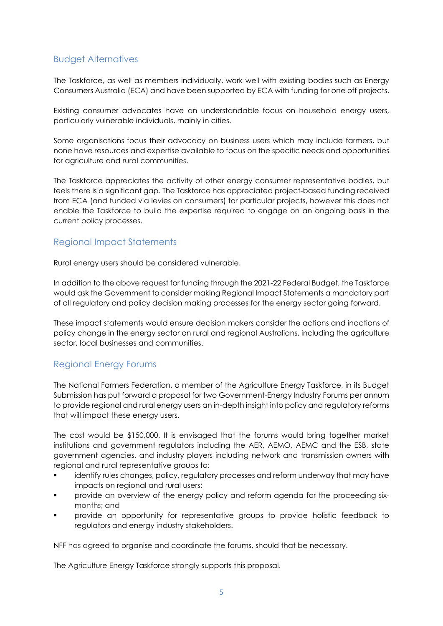#### <span id="page-5-0"></span>Budget Alternatives

The Taskforce, as well as members individually, work well with existing bodies such as Energy Consumers Australia (ECA) and have been supported by ECA with funding for one off projects.

Existing consumer advocates have an understandable focus on household energy users, particularly vulnerable individuals, mainly in cities.

Some organisations focus their advocacy on business users which may include farmers, but none have resources and expertise available to focus on the specific needs and opportunities for agriculture and rural communities.

The Taskforce appreciates the activity of other energy consumer representative bodies, but feels there is a significant gap. The Taskforce has appreciated project-based funding received from ECA (and funded via levies on consumers) for particular projects, however this does not enable the Taskforce to build the expertise required to engage on an ongoing basis in the current policy processes.

#### <span id="page-5-1"></span>Regional Impact Statements

Rural energy users should be considered vulnerable.

In addition to the above request for funding through the 2021-22 Federal Budget, the Taskforce would ask the Government to consider making Regional Impact Statements a mandatory part of all regulatory and policy decision making processes for the energy sector going forward.

These impact statements would ensure decision makers consider the actions and inactions of policy change in the energy sector on rural and regional Australians, including the agriculture sector, local businesses and communities.

#### <span id="page-5-2"></span>Regional Energy Forums

The National Farmers Federation, a member of the Agriculture Energy Taskforce, in its Budget Submission has put forward a proposal for two Government-Energy Industry Forums per annum to provide regional and rural energy users an in-depth insight into policy and regulatory reforms that will impact these energy users.

The cost would be \$150,000. It is envisaged that the forums would bring together market institutions and government regulators including the AER, AEMO, AEMC and the ESB, state government agencies, and industry players including network and transmission owners with regional and rural representative groups to:

- identify rules changes, policy, regulatory processes and reform underway that may have impacts on regional and rural users;
- provide an overview of the energy policy and reform agenda for the proceeding sixmonths; and
- provide an opportunity for representative groups to provide holistic feedback to regulators and energy industry stakeholders.

NFF has agreed to organise and coordinate the forums, should that be necessary.

The Agriculture Energy Taskforce strongly supports this proposal.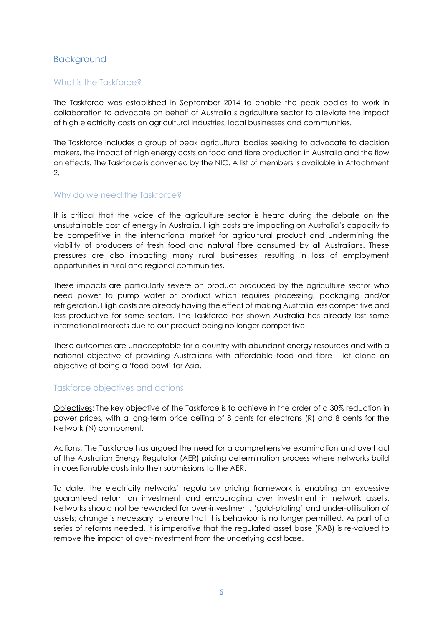#### <span id="page-6-0"></span>Background

#### <span id="page-6-1"></span>What is the Taskforce?

The Taskforce was established in September 2014 to enable the peak bodies to work in collaboration to advocate on behalf of Australia's agriculture sector to alleviate the impact of high electricity costs on agricultural industries, local businesses and communities.

The Taskforce includes a group of peak agricultural bodies seeking to advocate to decision makers, the impact of high energy costs on food and fibre production in Australia and the flow on effects. The Taskforce is convened by the NIC. A list of members is available in Attachment 2.

#### <span id="page-6-2"></span>Why do we need the Taskforce?

It is critical that the voice of the agriculture sector is heard during the debate on the unsustainable cost of energy in Australia. High costs are impacting on Australia's capacity to be competitive in the international market for agricultural product and undermining the viability of producers of fresh food and natural fibre consumed by all Australians. These pressures are also impacting many rural businesses, resulting in loss of employment opportunities in rural and regional communities.

These impacts are particularly severe on product produced by the agriculture sector who need power to pump water or product which requires processing, packaging and/or refrigeration. High costs are already having the effect of making Australia less competitive and less productive for some sectors. The Taskforce has shown Australia has already lost some international markets due to our product being no longer competitive.

These outcomes are unacceptable for a country with abundant energy resources and with a national objective of providing Australians with affordable food and fibre - let alone an objective of being a 'food bowl' for Asia.

#### <span id="page-6-3"></span>Taskforce objectives and actions

Objectives: The key objective of the Taskforce is to achieve in the order of a 30% reduction in power prices, with a long-term price ceiling of 8 cents for electrons (R) and 8 cents for the Network (N) component.

Actions: The Taskforce has argued the need for a comprehensive examination and overhaul of the Australian Energy Regulator (AER) pricing determination process where networks build in questionable costs into their submissions to the AER.

To date, the electricity networks' regulatory pricing framework is enabling an excessive guaranteed return on investment and encouraging over investment in network assets. Networks should not be rewarded for over-investment, 'gold-plating' and under-utilisation of assets; change is necessary to ensure that this behaviour is no longer permitted. As part of a series of reforms needed, it is imperative that the regulated asset base (RAB) is re-valued to remove the impact of over-investment from the underlying cost base.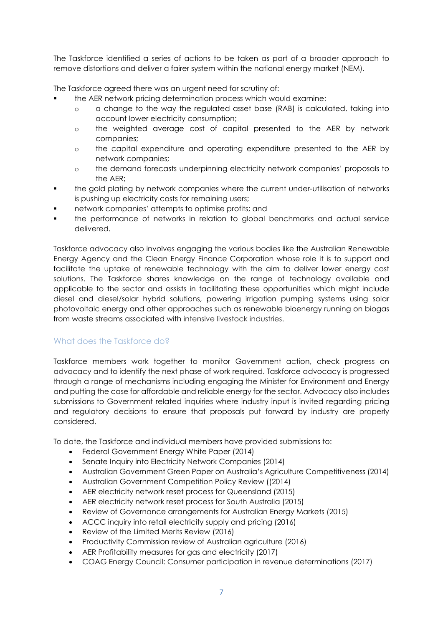The Taskforce identified a series of actions to be taken as part of a broader approach to remove distortions and deliver a fairer system within the national energy market (NEM).

The Taskforce agreed there was an urgent need for scrutiny of:

- the AER network pricing determination process which would examine:
	- o a change to the way the regulated asset base (RAB) is calculated, taking into account lower electricity consumption;
	- o the weighted average cost of capital presented to the AER by network companies;
	- o the capital expenditure and operating expenditure presented to the AER by network companies;
	- o the demand forecasts underpinning electricity network companies' proposals to the AER;
- the gold plating by network companies where the current under-utilisation of networks is pushing up electricity costs for remaining users;
- network companies' attempts to optimise profits; and
- the performance of networks in relation to global benchmarks and actual service delivered.

Taskforce advocacy also involves engaging the various bodies like the Australian Renewable Energy Agency and the Clean Energy Finance Corporation whose role it is to support and facilitate the uptake of renewable technology with the aim to deliver lower energy cost solutions. The Taskforce shares knowledge on the range of technology available and applicable to the sector and assists in facilitating these opportunities which might include diesel and diesel/solar hybrid solutions, powering irrigation pumping systems using solar photovoltaic energy and other approaches such as renewable bioenergy running on biogas from waste streams associated with intensive livestock industries.

#### <span id="page-7-0"></span>What does the Taskforce do?

Taskforce members work together to monitor Government action, check progress on advocacy and to identify the next phase of work required. Taskforce advocacy is progressed through a range of mechanisms including engaging the Minister for Environment and Energy and putting the case for affordable and reliable energy for the sector. Advocacy also includes submissions to Government related inquiries where industry input is invited regarding pricing and regulatory decisions to ensure that proposals put forward by industry are properly considered.

To date, the Taskforce and individual members have provided submissions to:

- Federal Government Energy White Paper (2014)
- Senate Inquiry into Electricity Network Companies (2014)
- Australian Government Green Paper on Australia's Agriculture Competitiveness (2014)
- Australian Government Competition Policy Review ((2014)
- AER electricity network reset process for Queensland (2015)
- AER electricity network reset process for South Australia (2015)
- Review of Governance arrangements for Australian Energy Markets (2015)
- ACCC inquiry into retail electricity supply and pricing (2016)
- Review of the Limited Merits Review (2016)
- Productivity Commission review of Australian agriculture (2016)
- AER Profitability measures for gas and electricity (2017)
- COAG Energy Council: Consumer participation in revenue determinations (2017)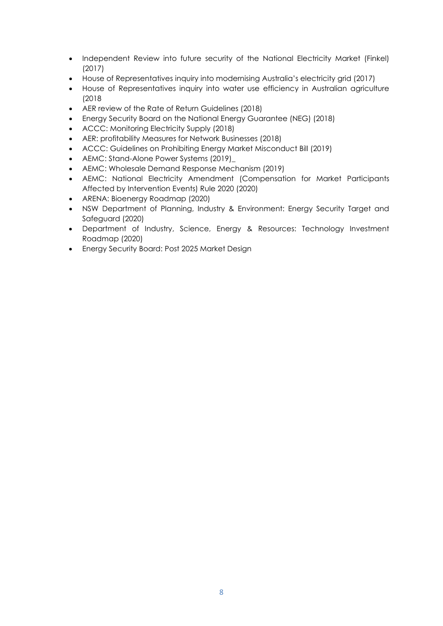- Independent Review into future security of the National Electricity Market (Finkel) (2017)
- House of Representatives inquiry into modernising Australia's electricity grid (2017)
- House of Representatives inquiry into water use efficiency in Australian agriculture (2018
- AER review of the Rate of Return Guidelines (2018)
- Energy Security Board on the National Energy Guarantee (NEG) (2018)
- ACCC: Monitoring Electricity Supply (2018)
- AER: profitability Measures for Network Businesses (2018)
- ACCC: Guidelines on Prohibiting Energy Market Misconduct Bill (2019)
- AEMC: Stand-Alone Power Systems (2019)\_
- AEMC: Wholesale Demand Response Mechanism (2019)
- AEMC: National Electricity Amendment (Compensation for Market Participants Affected by Intervention Events) Rule 2020 (2020)
- ARENA: Bioenergy Roadmap (2020)
- NSW Department of Planning, Industry & Environment: Energy Security Target and Safeguard (2020)
- Department of Industry, Science, Energy & Resources: Technology Investment Roadmap (2020)
- Energy Security Board: Post 2025 Market Design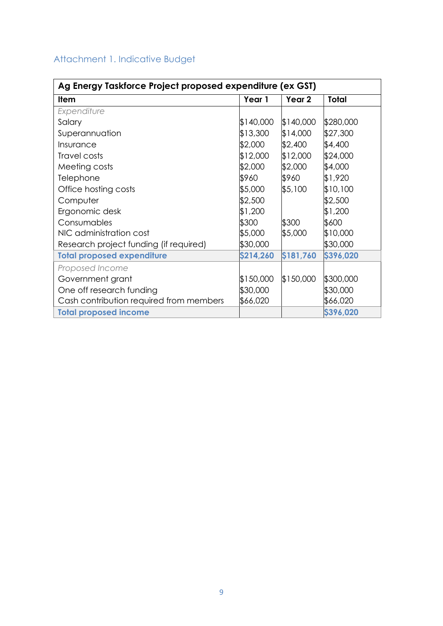### <span id="page-9-0"></span>Attachment 1. Indicative Budget

| Ag Energy Taskforce Project proposed expenditure (ex GST) |           |           |              |  |
|-----------------------------------------------------------|-----------|-----------|--------------|--|
| <b>Item</b>                                               | Year 1    | Year 2    | <b>Total</b> |  |
| Expenditure                                               |           |           |              |  |
| Salary                                                    | \$140,000 | \$140,000 | \$280,000    |  |
| Superannuation                                            | \$13,300  | \$14,000  | \$27,300     |  |
| Insurance                                                 | \$2,000   | \$2,400   | \$4,400      |  |
| Travel costs                                              | \$12,000  | \$12,000  | \$24,000     |  |
| Meeting costs                                             | \$2,000   | \$2,000   | \$4,000      |  |
| Telephone                                                 | \$960     | \$960     | \$1,920      |  |
| Office hosting costs                                      | \$5,000   | \$5,100   | \$10,100     |  |
| Computer                                                  | \$2,500   |           | \$2,500      |  |
| Ergonomic desk                                            | \$1,200   |           | \$1,200      |  |
| Consumables                                               | \$300     | \$300     | \$600        |  |
| NIC administration cost                                   | \$5,000   | \$5,000   | \$10,000     |  |
| Research project funding (if required)                    | \$30,000  |           | \$30,000     |  |
| <b>Total proposed expenditure</b>                         | \$214,260 | \$181,760 | \$396,020    |  |
| Proposed Income                                           |           |           |              |  |
| Government grant                                          | \$150,000 | \$150,000 | \$300,000    |  |
| One off research funding                                  | \$30,000  |           | \$30,000     |  |
| Cash contribution required from members                   | \$66,020  |           | \$66,020     |  |
| <b>Total proposed income</b>                              |           |           | \$396,020    |  |